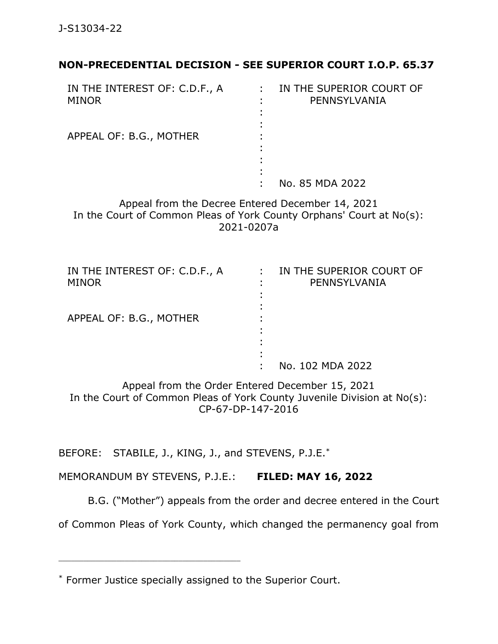## **NON-PRECEDENTIAL DECISION - SEE SUPERIOR COURT I.O.P. 65.37**

| IN THE INTEREST OF: C.D.F., A<br><b>MINOR</b> |   | IN THE SUPERIOR COURT OF<br>PENNSYLVANIA |
|-----------------------------------------------|---|------------------------------------------|
|                                               |   |                                          |
|                                               |   |                                          |
|                                               |   |                                          |
| APPEAL OF: B.G., MOTHER                       |   |                                          |
|                                               |   |                                          |
|                                               |   |                                          |
|                                               | ٠ |                                          |
|                                               |   | No. 85 MDA 2022                          |

Appeal from the Decree Entered December 14, 2021 In the Court of Common Pleas of York County Orphans' Court at No(s): 2021-0207a

| IN THE INTEREST OF: C.D.F., A | IN THE SUPERIOR COURT OF |
|-------------------------------|--------------------------|
| <b>MINOR</b>                  | PENNSYLVANIA             |
|                               |                          |
|                               |                          |
| APPEAL OF: B.G., MOTHER       |                          |
|                               |                          |
|                               |                          |
|                               |                          |
|                               | No. 102 MDA 2022         |

Appeal from the Order Entered December 15, 2021 In the Court of Common Pleas of York County Juvenile Division at No(s): CP-67-DP-147-2016

BEFORE: STABILE, J., KING, J., and STEVENS, P.J.E.\*

MEMORANDUM BY STEVENS, P.J.E.: **FILED: MAY 16, 2022**

B.G. ("Mother") appeals from the order and decree entered in the Court

of Common Pleas of York County, which changed the permanency goal from

\_\_\_\_\_\_\_\_\_\_\_\_\_\_\_\_\_\_\_\_\_\_\_\_\_\_\_\_\_\_\_\_\_\_\_\_\_\_\_\_\_\_\_\_

<sup>\*</sup> Former Justice specially assigned to the Superior Court.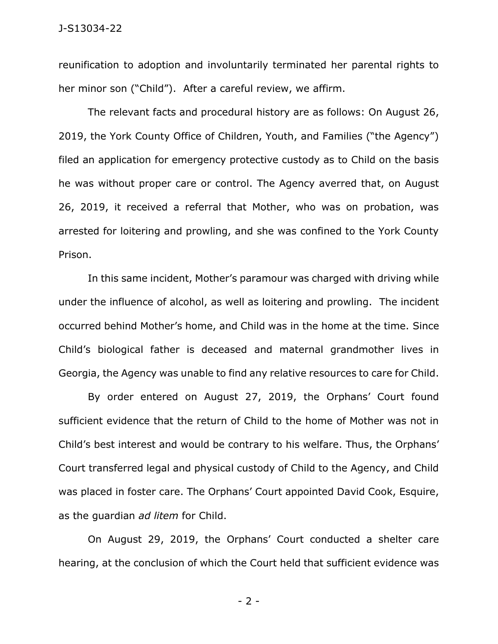reunification to adoption and involuntarily terminated her parental rights to her minor son ("Child"). After a careful review, we affirm.

The relevant facts and procedural history are as follows: On August 26, 2019, the York County Office of Children, Youth, and Families ("the Agency") filed an application for emergency protective custody as to Child on the basis he was without proper care or control. The Agency averred that, on August 26, 2019, it received a referral that Mother, who was on probation, was arrested for loitering and prowling, and she was confined to the York County Prison.

In this same incident, Mother's paramour was charged with driving while under the influence of alcohol, as well as loitering and prowling. The incident occurred behind Mother's home, and Child was in the home at the time. Since Child's biological father is deceased and maternal grandmother lives in Georgia, the Agency was unable to find any relative resources to care for Child.

By order entered on August 27, 2019, the Orphans' Court found sufficient evidence that the return of Child to the home of Mother was not in Child's best interest and would be contrary to his welfare. Thus, the Orphans' Court transferred legal and physical custody of Child to the Agency, and Child was placed in foster care. The Orphans' Court appointed David Cook, Esquire, as the guardian *ad litem* for Child.

On August 29, 2019, the Orphans' Court conducted a shelter care hearing, at the conclusion of which the Court held that sufficient evidence was

- 2 -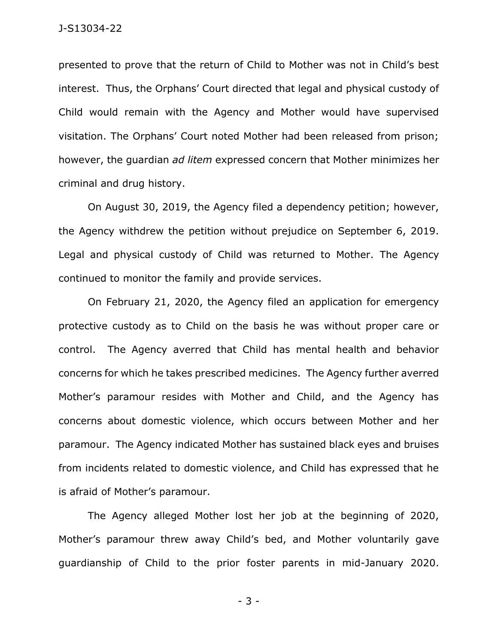presented to prove that the return of Child to Mother was not in Child's best interest. Thus, the Orphans' Court directed that legal and physical custody of Child would remain with the Agency and Mother would have supervised visitation. The Orphans' Court noted Mother had been released from prison; however, the guardian *ad litem* expressed concern that Mother minimizes her criminal and drug history.

On August 30, 2019, the Agency filed a dependency petition; however, the Agency withdrew the petition without prejudice on September 6, 2019. Legal and physical custody of Child was returned to Mother. The Agency continued to monitor the family and provide services.

On February 21, 2020, the Agency filed an application for emergency protective custody as to Child on the basis he was without proper care or control. The Agency averred that Child has mental health and behavior concerns for which he takes prescribed medicines. The Agency further averred Mother's paramour resides with Mother and Child, and the Agency has concerns about domestic violence, which occurs between Mother and her paramour. The Agency indicated Mother has sustained black eyes and bruises from incidents related to domestic violence, and Child has expressed that he is afraid of Mother's paramour.

The Agency alleged Mother lost her job at the beginning of 2020, Mother's paramour threw away Child's bed, and Mother voluntarily gave guardianship of Child to the prior foster parents in mid-January 2020.

- 3 -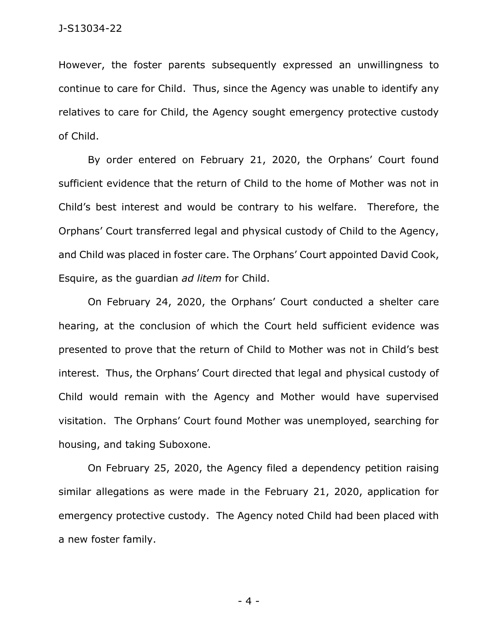However, the foster parents subsequently expressed an unwillingness to continue to care for Child. Thus, since the Agency was unable to identify any relatives to care for Child, the Agency sought emergency protective custody of Child.

By order entered on February 21, 2020, the Orphans' Court found sufficient evidence that the return of Child to the home of Mother was not in Child's best interest and would be contrary to his welfare. Therefore, the Orphans' Court transferred legal and physical custody of Child to the Agency, and Child was placed in foster care. The Orphans' Court appointed David Cook, Esquire, as the guardian *ad litem* for Child.

On February 24, 2020, the Orphans' Court conducted a shelter care hearing, at the conclusion of which the Court held sufficient evidence was presented to prove that the return of Child to Mother was not in Child's best interest. Thus, the Orphans' Court directed that legal and physical custody of Child would remain with the Agency and Mother would have supervised visitation. The Orphans' Court found Mother was unemployed, searching for housing, and taking Suboxone.

On February 25, 2020, the Agency filed a dependency petition raising similar allegations as were made in the February 21, 2020, application for emergency protective custody. The Agency noted Child had been placed with a new foster family.

- 4 -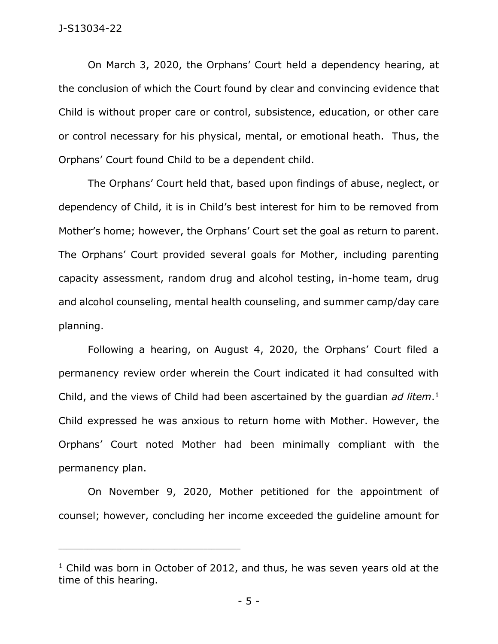On March 3, 2020, the Orphans' Court held a dependency hearing, at the conclusion of which the Court found by clear and convincing evidence that Child is without proper care or control, subsistence, education, or other care or control necessary for his physical, mental, or emotional heath. Thus, the Orphans' Court found Child to be a dependent child.

The Orphans' Court held that, based upon findings of abuse, neglect, or dependency of Child, it is in Child's best interest for him to be removed from Mother's home; however, the Orphans' Court set the goal as return to parent. The Orphans' Court provided several goals for Mother, including parenting capacity assessment, random drug and alcohol testing, in-home team, drug and alcohol counseling, mental health counseling, and summer camp/day care planning.

Following a hearing, on August 4, 2020, the Orphans' Court filed a permanency review order wherein the Court indicated it had consulted with Child, and the views of Child had been ascertained by the guardian *ad litem*. 1 Child expressed he was anxious to return home with Mother. However, the Orphans' Court noted Mother had been minimally compliant with the permanency plan.

On November 9, 2020, Mother petitioned for the appointment of counsel; however, concluding her income exceeded the guideline amount for

\_\_\_\_\_\_\_\_\_\_\_\_\_\_\_\_\_\_\_\_\_\_\_\_\_\_\_\_\_\_\_\_\_\_\_\_\_\_\_\_\_\_\_\_

<sup>&</sup>lt;sup>1</sup> Child was born in October of 2012, and thus, he was seven years old at the time of this hearing.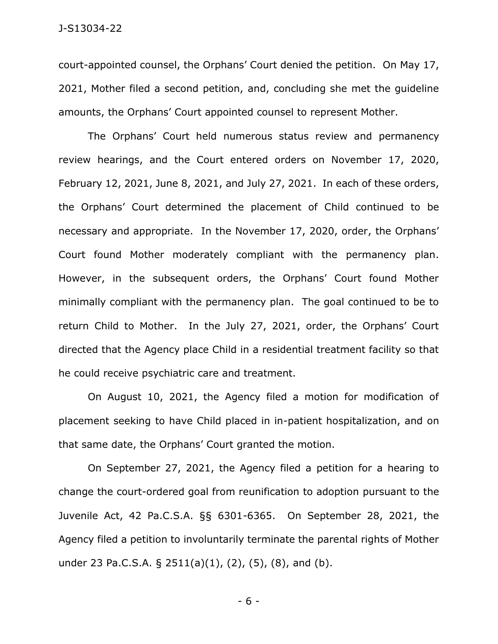court-appointed counsel, the Orphans' Court denied the petition. On May 17, 2021, Mother filed a second petition, and, concluding she met the guideline amounts, the Orphans' Court appointed counsel to represent Mother.

The Orphans' Court held numerous status review and permanency review hearings, and the Court entered orders on November 17, 2020, February 12, 2021, June 8, 2021, and July 27, 2021. In each of these orders, the Orphans' Court determined the placement of Child continued to be necessary and appropriate. In the November 17, 2020, order, the Orphans' Court found Mother moderately compliant with the permanency plan. However, in the subsequent orders, the Orphans' Court found Mother minimally compliant with the permanency plan. The goal continued to be to return Child to Mother. In the July 27, 2021, order, the Orphans' Court directed that the Agency place Child in a residential treatment facility so that he could receive psychiatric care and treatment.

On August 10, 2021, the Agency filed a motion for modification of placement seeking to have Child placed in in-patient hospitalization, and on that same date, the Orphans' Court granted the motion.

On September 27, 2021, the Agency filed a petition for a hearing to change the court-ordered goal from reunification to adoption pursuant to the Juvenile Act, 42 Pa.C.S.A. §§ 6301-6365. On September 28, 2021, the Agency filed a petition to involuntarily terminate the parental rights of Mother under 23 Pa.C.S.A. § 2511(a)(1), (2), (5), (8), and (b).

- 6 -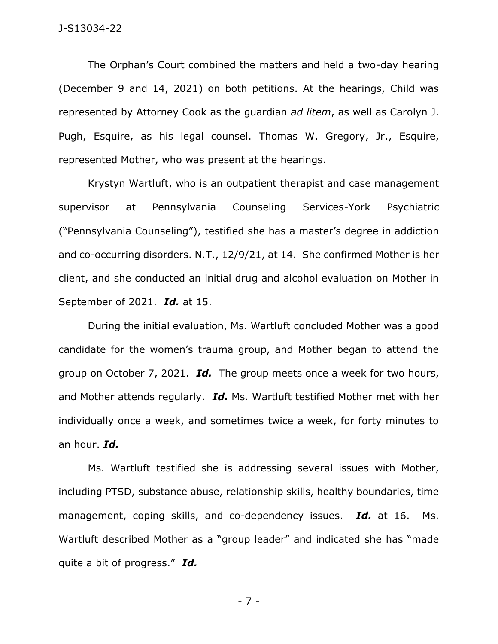The Orphan's Court combined the matters and held a two-day hearing (December 9 and 14, 2021) on both petitions. At the hearings, Child was represented by Attorney Cook as the guardian *ad litem*, as well as Carolyn J. Pugh, Esquire, as his legal counsel. Thomas W. Gregory, Jr., Esquire, represented Mother, who was present at the hearings.

Krystyn Wartluft, who is an outpatient therapist and case management supervisor at Pennsylvania Counseling Services-York Psychiatric ("Pennsylvania Counseling"), testified she has a master's degree in addiction and co-occurring disorders. N.T., 12/9/21, at 14. She confirmed Mother is her client, and she conducted an initial drug and alcohol evaluation on Mother in September of 2021. *Id.* at 15.

During the initial evaluation, Ms. Wartluft concluded Mother was a good candidate for the women's trauma group, and Mother began to attend the group on October 7, 2021. *Id.* The group meets once a week for two hours, and Mother attends regularly. *Id.* Ms. Wartluft testified Mother met with her individually once a week, and sometimes twice a week, for forty minutes to an hour. *Id.* 

Ms. Wartluft testified she is addressing several issues with Mother, including PTSD, substance abuse, relationship skills, healthy boundaries, time management, coping skills, and co-dependency issues. *Id.* at 16. Ms. Wartluft described Mother as a "group leader" and indicated she has "made quite a bit of progress." *Id.* 

- 7 -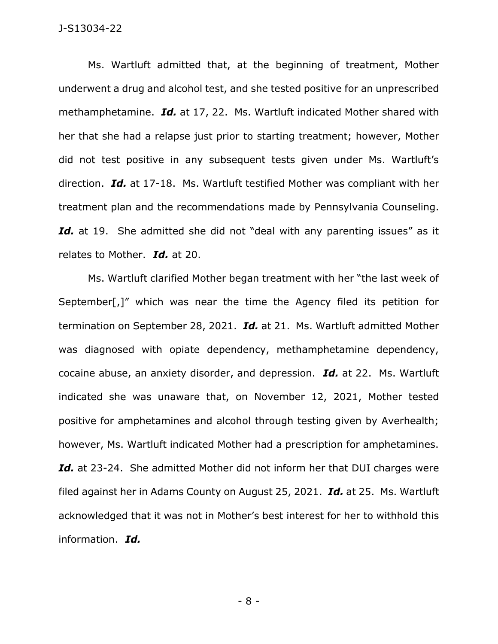Ms. Wartluft admitted that, at the beginning of treatment, Mother underwent a drug and alcohol test, and she tested positive for an unprescribed methamphetamine. *Id.* at 17, 22. Ms. Wartluft indicated Mother shared with her that she had a relapse just prior to starting treatment; however, Mother did not test positive in any subsequent tests given under Ms. Wartluft's direction. *Id.* at 17-18. Ms. Wartluft testified Mother was compliant with her treatment plan and the recommendations made by Pennsylvania Counseling. Id. at 19. She admitted she did not "deal with any parenting issues" as it relates to Mother. *Id.* at 20.

Ms. Wartluft clarified Mother began treatment with her "the last week of September[,]" which was near the time the Agency filed its petition for termination on September 28, 2021. *Id.* at 21. Ms. Wartluft admitted Mother was diagnosed with opiate dependency, methamphetamine dependency, cocaine abuse, an anxiety disorder, and depression. *Id.* at 22. Ms. Wartluft indicated she was unaware that, on November 12, 2021, Mother tested positive for amphetamines and alcohol through testing given by Averhealth; however, Ms. Wartluft indicated Mother had a prescription for amphetamines. Id. at 23-24. She admitted Mother did not inform her that DUI charges were filed against her in Adams County on August 25, 2021. *Id.* at 25. Ms. Wartluft acknowledged that it was not in Mother's best interest for her to withhold this information. *Id.*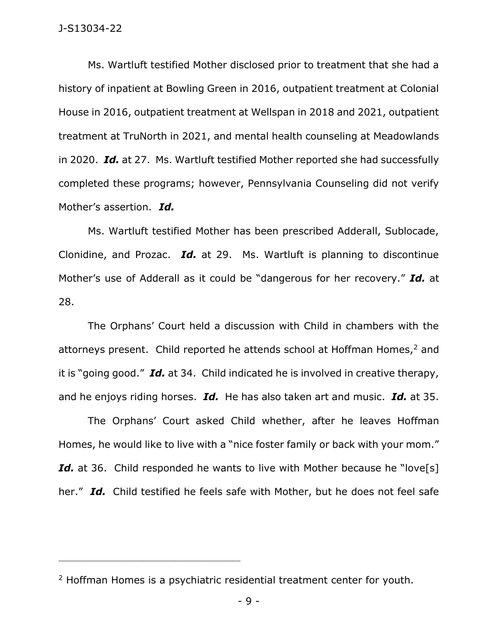Ms. Wartluft testified Mother disclosed prior to treatment that she had a history of inpatient at Bowling Green in 2016, outpatient treatment at Colonial House in 2016, outpatient treatment at Wellspan in 2018 and 2021, outpatient treatment at TruNorth in 2021, and mental health counseling at Meadowlands in 2020. *Id.* at 27. Ms. Wartluft testified Mother reported she had successfully completed these programs; however, Pennsylvania Counseling did not verify Mother's assertion. *Id.* 

Ms. Wartluft testified Mother has been prescribed Adderall, Sublocade, Clonidine, and Prozac. *Id.* at 29. Ms. Wartluft is planning to discontinue Mother's use of Adderall as it could be "dangerous for her recovery." *Id.* at 28.

The Orphans' Court held a discussion with Child in chambers with the attorneys present. Child reported he attends school at Hoffman Homes, $<sup>2</sup>$  and</sup> it is "going good." *Id.* at 34. Child indicated he is involved in creative therapy, and he enjoys riding horses. *Id.* He has also taken art and music. *Id.* at 35.

The Orphans' Court asked Child whether, after he leaves Hoffman Homes, he would like to live with a "nice foster family or back with your mom." Id. at 36. Child responded he wants to live with Mother because he "love<sup>[s]</sup> her." *Id.* Child testified he feels safe with Mother, but he does not feel safe

\_\_\_\_\_\_\_\_\_\_\_\_\_\_\_\_\_\_\_\_\_\_\_\_\_\_\_\_\_\_\_\_\_\_\_\_\_\_\_\_\_\_\_\_

<sup>&</sup>lt;sup>2</sup> Hoffman Homes is a psychiatric residential treatment center for youth.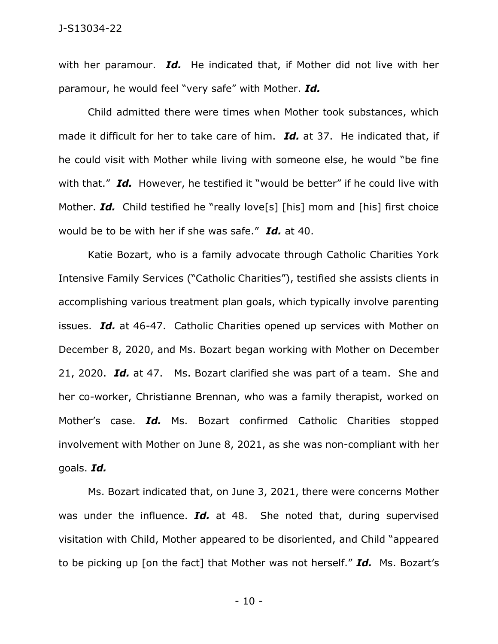with her paramour. *Id.* He indicated that, if Mother did not live with her paramour, he would feel "very safe" with Mother. *Id.* 

Child admitted there were times when Mother took substances, which made it difficult for her to take care of him. *Id.* at 37. He indicated that, if he could visit with Mother while living with someone else, he would "be fine with that." *Id.* However, he testified it "would be better" if he could live with Mother. *Id.* Child testified he "really love[s] [his] mom and [his] first choice would be to be with her if she was safe." *Id.* at 40.

Katie Bozart, who is a family advocate through Catholic Charities York Intensive Family Services ("Catholic Charities"), testified she assists clients in accomplishing various treatment plan goals, which typically involve parenting issues. *Id.* at 46-47. Catholic Charities opened up services with Mother on December 8, 2020, and Ms. Bozart began working with Mother on December 21, 2020. *Id.* at 47. Ms. Bozart clarified she was part of a team. She and her co-worker, Christianne Brennan, who was a family therapist, worked on Mother's case. *Id.* Ms. Bozart confirmed Catholic Charities stopped involvement with Mother on June 8, 2021, as she was non-compliant with her goals. *Id.* 

Ms. Bozart indicated that, on June 3, 2021, there were concerns Mother was under the influence. *Id.* at 48. She noted that, during supervised visitation with Child, Mother appeared to be disoriented, and Child "appeared to be picking up [on the fact] that Mother was not herself." *Id.* Ms. Bozart's

- 10 -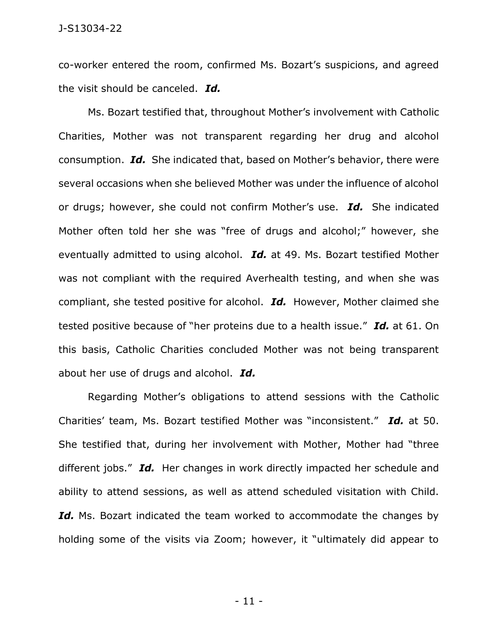co-worker entered the room, confirmed Ms. Bozart's suspicions, and agreed the visit should be canceled. *Id.* 

Ms. Bozart testified that, throughout Mother's involvement with Catholic Charities, Mother was not transparent regarding her drug and alcohol consumption. *Id.* She indicated that, based on Mother's behavior, there were several occasions when she believed Mother was under the influence of alcohol or drugs; however, she could not confirm Mother's use. *Id.* She indicated Mother often told her she was "free of drugs and alcohol;" however, she eventually admitted to using alcohol. *Id.* at 49. Ms. Bozart testified Mother was not compliant with the required Averhealth testing, and when she was compliant, she tested positive for alcohol. *Id.* However, Mother claimed she tested positive because of "her proteins due to a health issue." *Id.* at 61. On this basis, Catholic Charities concluded Mother was not being transparent about her use of drugs and alcohol. *Id.* 

Regarding Mother's obligations to attend sessions with the Catholic Charities' team, Ms. Bozart testified Mother was "inconsistent." *Id.* at 50. She testified that, during her involvement with Mother, Mother had "three different jobs." *Id.* Her changes in work directly impacted her schedule and ability to attend sessions, as well as attend scheduled visitation with Child. Id. Ms. Bozart indicated the team worked to accommodate the changes by holding some of the visits via Zoom; however, it "ultimately did appear to

- 11 -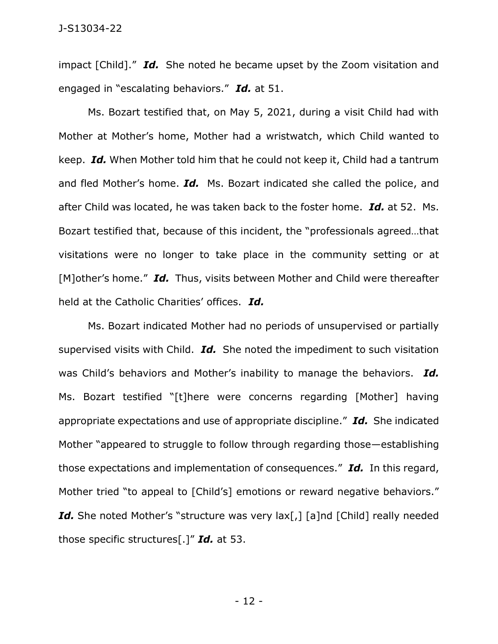impact [Child]." *Id.* She noted he became upset by the Zoom visitation and engaged in "escalating behaviors." *Id.* at 51.

Ms. Bozart testified that, on May 5, 2021, during a visit Child had with Mother at Mother's home, Mother had a wristwatch, which Child wanted to keep. *Id.* When Mother told him that he could not keep it, Child had a tantrum and fled Mother's home. *Id.* Ms. Bozart indicated she called the police, and after Child was located, he was taken back to the foster home. *Id.* at 52. Ms. Bozart testified that, because of this incident, the "professionals agreed…that visitations were no longer to take place in the community setting or at [M]other's home." *Id.* Thus, visits between Mother and Child were thereafter held at the Catholic Charities' offices. *Id.* 

Ms. Bozart indicated Mother had no periods of unsupervised or partially supervised visits with Child. *Id.* She noted the impediment to such visitation was Child's behaviors and Mother's inability to manage the behaviors. *Id.*  Ms. Bozart testified "[t]here were concerns regarding [Mother] having appropriate expectations and use of appropriate discipline." *Id.* She indicated Mother "appeared to struggle to follow through regarding those—establishing those expectations and implementation of consequences." *Id.* In this regard, Mother tried "to appeal to [Child's] emotions or reward negative behaviors." Id. She noted Mother's "structure was very lax[,] [a]nd [Child] really needed those specific structures[.]" *Id.* at 53.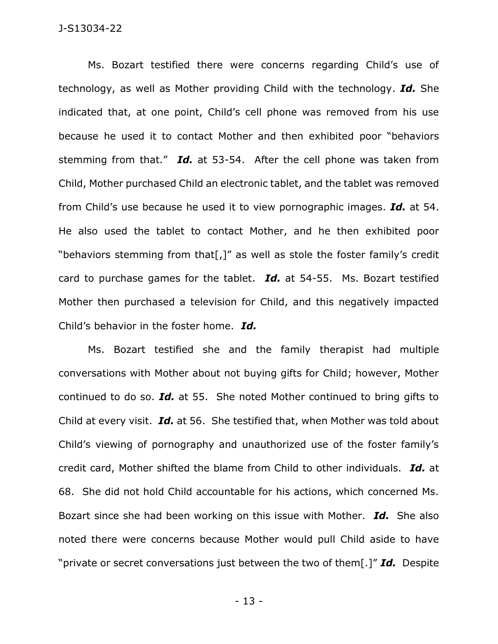Ms. Bozart testified there were concerns regarding Child's use of technology, as well as Mother providing Child with the technology. *Id.* She indicated that, at one point, Child's cell phone was removed from his use because he used it to contact Mother and then exhibited poor "behaviors stemming from that." *Id.* at 53-54. After the cell phone was taken from Child, Mother purchased Child an electronic tablet, and the tablet was removed from Child's use because he used it to view pornographic images. *Id.* at 54. He also used the tablet to contact Mother, and he then exhibited poor "behaviors stemming from that[,]" as well as stole the foster family's credit card to purchase games for the tablet. *Id.* at 54-55. Ms. Bozart testified Mother then purchased a television for Child, and this negatively impacted Child's behavior in the foster home. *Id.* 

Ms. Bozart testified she and the family therapist had multiple conversations with Mother about not buying gifts for Child; however, Mother continued to do so. *Id.* at 55. She noted Mother continued to bring gifts to Child at every visit. *Id.* at 56. She testified that, when Mother was told about Child's viewing of pornography and unauthorized use of the foster family's credit card, Mother shifted the blame from Child to other individuals. *Id.* at 68. She did not hold Child accountable for his actions, which concerned Ms. Bozart since she had been working on this issue with Mother. *Id.* She also noted there were concerns because Mother would pull Child aside to have "private or secret conversations just between the two of them[.]" *Id.* Despite

- 13 -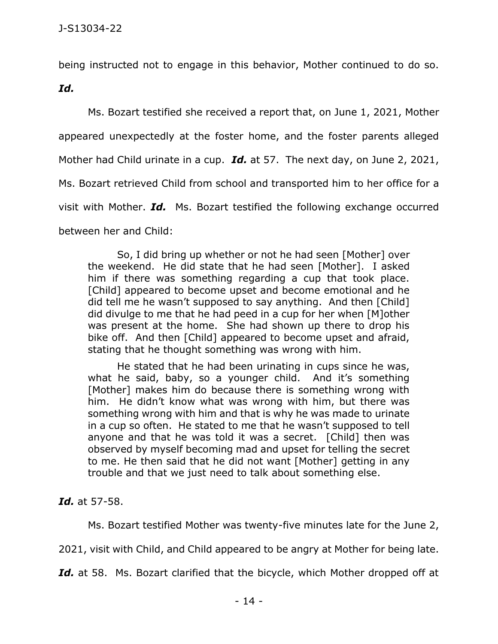being instructed not to engage in this behavior, Mother continued to do so.

*Id.* 

Ms. Bozart testified she received a report that, on June 1, 2021, Mother appeared unexpectedly at the foster home, and the foster parents alleged Mother had Child urinate in a cup. *Id.* at 57. The next day, on June 2, 2021, Ms. Bozart retrieved Child from school and transported him to her office for a visit with Mother. *Id.* Ms. Bozart testified the following exchange occurred between her and Child:

So, I did bring up whether or not he had seen [Mother] over the weekend. He did state that he had seen [Mother]. I asked him if there was something regarding a cup that took place. [Child] appeared to become upset and become emotional and he did tell me he wasn't supposed to say anything. And then [Child] did divulge to me that he had peed in a cup for her when [M]other was present at the home. She had shown up there to drop his bike off. And then [Child] appeared to become upset and afraid, stating that he thought something was wrong with him.

He stated that he had been urinating in cups since he was, what he said, baby, so a younger child. And it's something [Mother] makes him do because there is something wrong with him. He didn't know what was wrong with him, but there was something wrong with him and that is why he was made to urinate in a cup so often. He stated to me that he wasn't supposed to tell anyone and that he was told it was a secret. [Child] then was observed by myself becoming mad and upset for telling the secret to me. He then said that he did not want [Mother] getting in any trouble and that we just need to talk about something else.

*Id.* at 57-58.

Ms. Bozart testified Mother was twenty-five minutes late for the June 2,

2021, visit with Child, and Child appeared to be angry at Mother for being late.

Id. at 58. Ms. Bozart clarified that the bicycle, which Mother dropped off at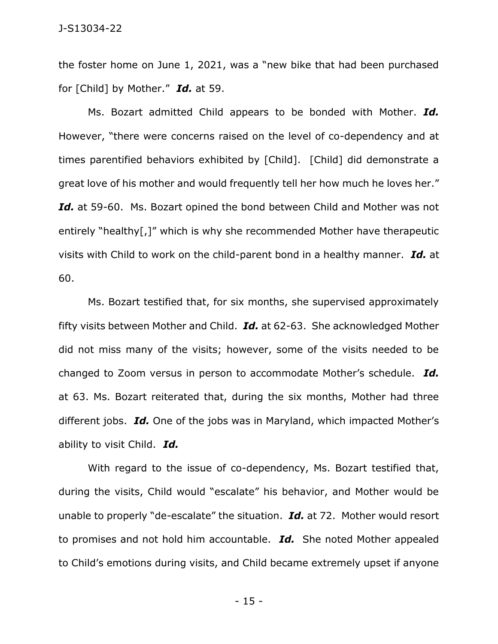the foster home on June 1, 2021, was a "new bike that had been purchased for [Child] by Mother." *Id.* at 59.

Ms. Bozart admitted Child appears to be bonded with Mother. *Id.*  However, "there were concerns raised on the level of co-dependency and at times parentified behaviors exhibited by [Child]. [Child] did demonstrate a great love of his mother and would frequently tell her how much he loves her." Id. at 59-60. Ms. Bozart opined the bond between Child and Mother was not entirely "healthy[,]" which is why she recommended Mother have therapeutic visits with Child to work on the child-parent bond in a healthy manner. *Id.* at 60.

Ms. Bozart testified that, for six months, she supervised approximately fifty visits between Mother and Child. *Id.* at 62-63. She acknowledged Mother did not miss many of the visits; however, some of the visits needed to be changed to Zoom versus in person to accommodate Mother's schedule. *Id.*  at 63. Ms. Bozart reiterated that, during the six months, Mother had three different jobs. *Id.* One of the jobs was in Maryland, which impacted Mother's ability to visit Child. *Id.* 

With regard to the issue of co-dependency, Ms. Bozart testified that, during the visits, Child would "escalate" his behavior, and Mother would be unable to properly "de-escalate" the situation. *Id.* at 72. Mother would resort to promises and not hold him accountable. *Id.* She noted Mother appealed to Child's emotions during visits, and Child became extremely upset if anyone

- 15 -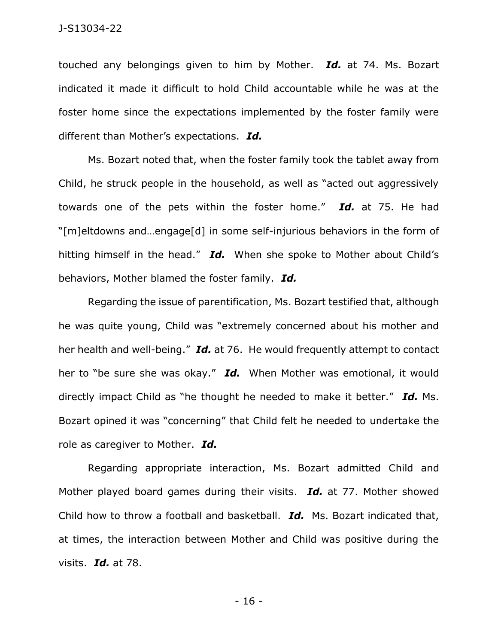touched any belongings given to him by Mother. *Id.* at 74. Ms. Bozart indicated it made it difficult to hold Child accountable while he was at the foster home since the expectations implemented by the foster family were different than Mother's expectations. *Id.* 

Ms. Bozart noted that, when the foster family took the tablet away from Child, he struck people in the household, as well as "acted out aggressively towards one of the pets within the foster home." *Id.* at 75. He had "[m]eltdowns and…engage[d] in some self-injurious behaviors in the form of hitting himself in the head." *Id.* When she spoke to Mother about Child's behaviors, Mother blamed the foster family. *Id.*

Regarding the issue of parentification, Ms. Bozart testified that, although he was quite young, Child was "extremely concerned about his mother and her health and well-being." *Id.* at 76. He would frequently attempt to contact her to "be sure she was okay." *Id.* When Mother was emotional, it would directly impact Child as "he thought he needed to make it better." *Id.* Ms. Bozart opined it was "concerning" that Child felt he needed to undertake the role as caregiver to Mother. *Id.* 

Regarding appropriate interaction, Ms. Bozart admitted Child and Mother played board games during their visits. *Id.* at 77. Mother showed Child how to throw a football and basketball. *Id.* Ms. Bozart indicated that, at times, the interaction between Mother and Child was positive during the visits. *Id.* at 78.

- 16 -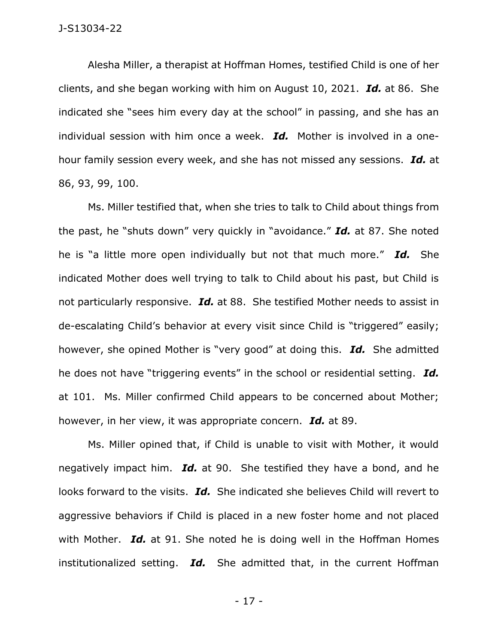Alesha Miller, a therapist at Hoffman Homes, testified Child is one of her clients, and she began working with him on August 10, 2021. *Id.* at 86. She indicated she "sees him every day at the school" in passing, and she has an individual session with him once a week. *Id.* Mother is involved in a onehour family session every week, and she has not missed any sessions. *Id.* at 86, 93, 99, 100.

Ms. Miller testified that, when she tries to talk to Child about things from the past, he "shuts down" very quickly in "avoidance." *Id.* at 87. She noted he is "a little more open individually but not that much more." *Id.* She indicated Mother does well trying to talk to Child about his past, but Child is not particularly responsive. *Id.* at 88. She testified Mother needs to assist in de-escalating Child's behavior at every visit since Child is "triggered" easily; however, she opined Mother is "very good" at doing this. *Id.* She admitted he does not have "triggering events" in the school or residential setting. *Id.*  at 101. Ms. Miller confirmed Child appears to be concerned about Mother; however, in her view, it was appropriate concern. *Id.* at 89.

Ms. Miller opined that, if Child is unable to visit with Mother, it would negatively impact him. *Id.* at 90. She testified they have a bond, and he looks forward to the visits. *Id.* She indicated she believes Child will revert to aggressive behaviors if Child is placed in a new foster home and not placed with Mother. *Id.* at 91. She noted he is doing well in the Hoffman Homes institutionalized setting. *Id.* She admitted that, in the current Hoffman

- 17 -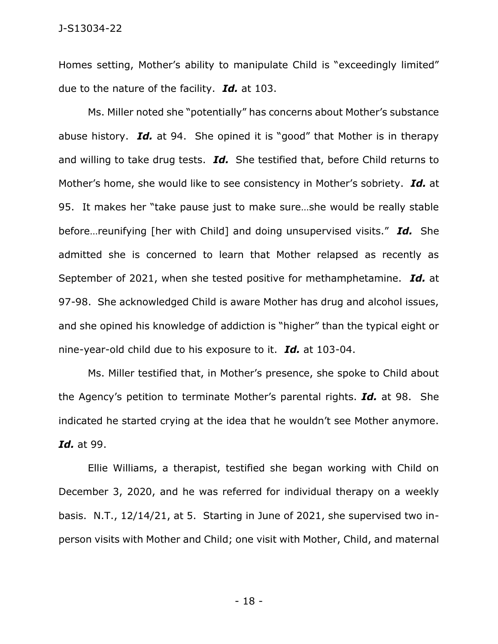Homes setting, Mother's ability to manipulate Child is "exceedingly limited" due to the nature of the facility. *Id.* at 103.

Ms. Miller noted she "potentially" has concerns about Mother's substance abuse history. *Id.* at 94. She opined it is "good" that Mother is in therapy and willing to take drug tests. *Id.* She testified that, before Child returns to Mother's home, she would like to see consistency in Mother's sobriety. *Id.* at 95. It makes her "take pause just to make sure…she would be really stable before…reunifying [her with Child] and doing unsupervised visits." *Id.* She admitted she is concerned to learn that Mother relapsed as recently as September of 2021, when she tested positive for methamphetamine. *Id.* at 97-98. She acknowledged Child is aware Mother has drug and alcohol issues, and she opined his knowledge of addiction is "higher" than the typical eight or nine-year-old child due to his exposure to it. *Id.* at 103-04.

Ms. Miller testified that, in Mother's presence, she spoke to Child about the Agency's petition to terminate Mother's parental rights. *Id.* at 98. She indicated he started crying at the idea that he wouldn't see Mother anymore. *Id.* at 99.

Ellie Williams, a therapist, testified she began working with Child on December 3, 2020, and he was referred for individual therapy on a weekly basis. N.T., 12/14/21, at 5. Starting in June of 2021, she supervised two inperson visits with Mother and Child; one visit with Mother, Child, and maternal

- 18 -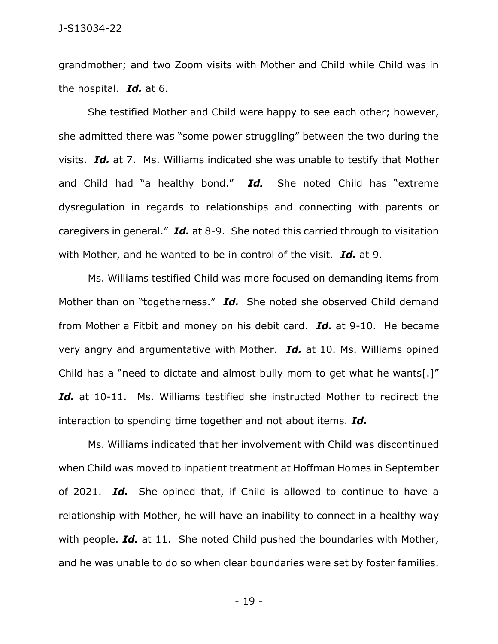grandmother; and two Zoom visits with Mother and Child while Child was in the hospital. *Id.* at 6.

She testified Mother and Child were happy to see each other; however, she admitted there was "some power struggling" between the two during the visits. *Id.* at 7. Ms. Williams indicated she was unable to testify that Mother and Child had "a healthy bond." *Id.* She noted Child has "extreme dysregulation in regards to relationships and connecting with parents or caregivers in general." *Id.* at 8-9. She noted this carried through to visitation with Mother, and he wanted to be in control of the visit. *Id.* at 9.

Ms. Williams testified Child was more focused on demanding items from Mother than on "togetherness." *Id.* She noted she observed Child demand from Mother a Fitbit and money on his debit card. *Id.* at 9-10. He became very angry and argumentative with Mother. *Id.* at 10. Ms. Williams opined Child has a "need to dictate and almost bully mom to get what he wants[.]" Id. at 10-11. Ms. Williams testified she instructed Mother to redirect the interaction to spending time together and not about items. *Id.*

Ms. Williams indicated that her involvement with Child was discontinued when Child was moved to inpatient treatment at Hoffman Homes in September of 2021. *Id.* She opined that, if Child is allowed to continue to have a relationship with Mother, he will have an inability to connect in a healthy way with people. *Id.* at 11. She noted Child pushed the boundaries with Mother, and he was unable to do so when clear boundaries were set by foster families.

- 19 -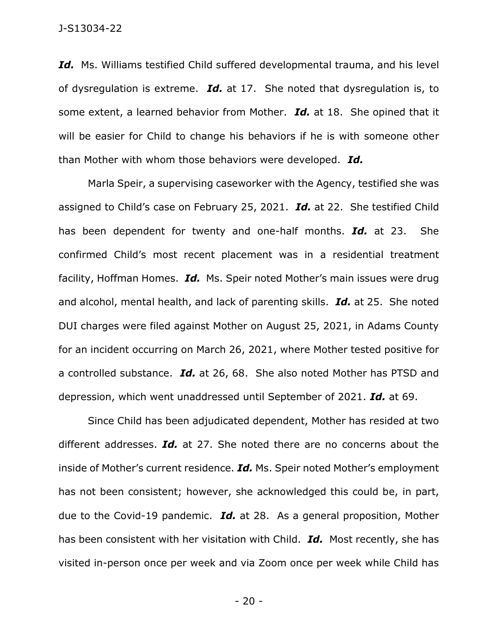Id. Ms. Williams testified Child suffered developmental trauma, and his level of dysregulation is extreme. *Id.* at 17. She noted that dysregulation is, to some extent, a learned behavior from Mother. *Id.* at 18. She opined that it will be easier for Child to change his behaviors if he is with someone other than Mother with whom those behaviors were developed. *Id.* 

Marla Speir, a supervising caseworker with the Agency, testified she was assigned to Child's case on February 25, 2021. *Id.* at 22. She testified Child has been dependent for twenty and one-half months. *Id.* at 23. She confirmed Child's most recent placement was in a residential treatment facility, Hoffman Homes. *Id.* Ms. Speir noted Mother's main issues were drug and alcohol, mental health, and lack of parenting skills. *Id.* at 25. She noted DUI charges were filed against Mother on August 25, 2021, in Adams County for an incident occurring on March 26, 2021, where Mother tested positive for a controlled substance. *Id.* at 26, 68. She also noted Mother has PTSD and depression, which went unaddressed until September of 2021. *Id.* at 69.

Since Child has been adjudicated dependent, Mother has resided at two different addresses. *Id.* at 27. She noted there are no concerns about the inside of Mother's current residence. *Id.* Ms. Speir noted Mother's employment has not been consistent; however, she acknowledged this could be, in part, due to the Covid-19 pandemic. *Id.* at 28. As a general proposition, Mother has been consistent with her visitation with Child. *Id.* Most recently, she has visited in-person once per week and via Zoom once per week while Child has

- 20 -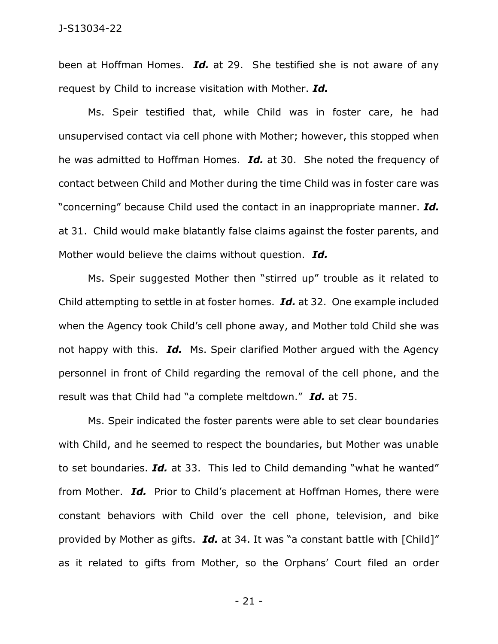been at Hoffman Homes. *Id.* at 29. She testified she is not aware of any request by Child to increase visitation with Mother. *Id.* 

Ms. Speir testified that, while Child was in foster care, he had unsupervised contact via cell phone with Mother; however, this stopped when he was admitted to Hoffman Homes. *Id.* at 30. She noted the frequency of contact between Child and Mother during the time Child was in foster care was "concerning" because Child used the contact in an inappropriate manner. *Id.*  at 31. Child would make blatantly false claims against the foster parents, and Mother would believe the claims without question. *Id.* 

Ms. Speir suggested Mother then "stirred up" trouble as it related to Child attempting to settle in at foster homes. *Id.* at 32. One example included when the Agency took Child's cell phone away, and Mother told Child she was not happy with this. *Id.* Ms. Speir clarified Mother argued with the Agency personnel in front of Child regarding the removal of the cell phone, and the result was that Child had "a complete meltdown." *Id.* at 75.

Ms. Speir indicated the foster parents were able to set clear boundaries with Child, and he seemed to respect the boundaries, but Mother was unable to set boundaries. *Id.* at 33. This led to Child demanding "what he wanted" from Mother. *Id.* Prior to Child's placement at Hoffman Homes, there were constant behaviors with Child over the cell phone, television, and bike provided by Mother as gifts. *Id.* at 34. It was "a constant battle with [Child]" as it related to gifts from Mother, so the Orphans' Court filed an order

- 21 -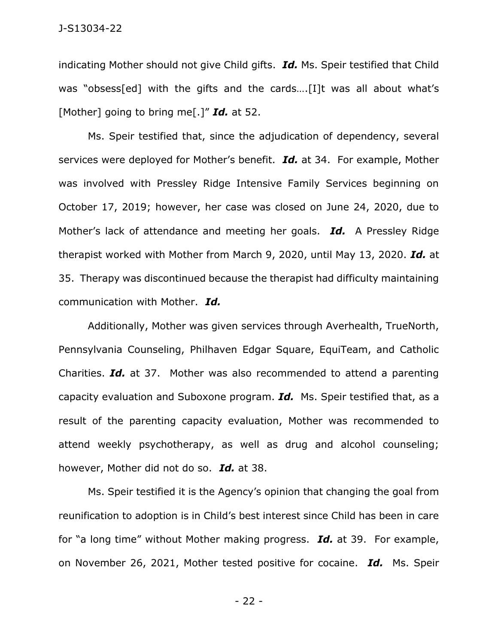indicating Mother should not give Child gifts. *Id.* Ms. Speir testified that Child was "obsess[ed] with the gifts and the cards....[I]t was all about what's [Mother] going to bring me[.]" *Id.* at 52.

Ms. Speir testified that, since the adjudication of dependency, several services were deployed for Mother's benefit. *Id.* at 34. For example, Mother was involved with Pressley Ridge Intensive Family Services beginning on October 17, 2019; however, her case was closed on June 24, 2020, due to Mother's lack of attendance and meeting her goals. *Id.* A Pressley Ridge therapist worked with Mother from March 9, 2020, until May 13, 2020. *Id.* at 35. Therapy was discontinued because the therapist had difficulty maintaining communication with Mother. *Id.* 

Additionally, Mother was given services through Averhealth, TrueNorth, Pennsylvania Counseling, Philhaven Edgar Square, EquiTeam, and Catholic Charities. *Id.* at 37. Mother was also recommended to attend a parenting capacity evaluation and Suboxone program. *Id.* Ms. Speir testified that, as a result of the parenting capacity evaluation, Mother was recommended to attend weekly psychotherapy, as well as drug and alcohol counseling; however, Mother did not do so. *Id.* at 38.

Ms. Speir testified it is the Agency's opinion that changing the goal from reunification to adoption is in Child's best interest since Child has been in care for "a long time" without Mother making progress. *Id.* at 39. For example, on November 26, 2021, Mother tested positive for cocaine. *Id.* Ms. Speir

- 22 -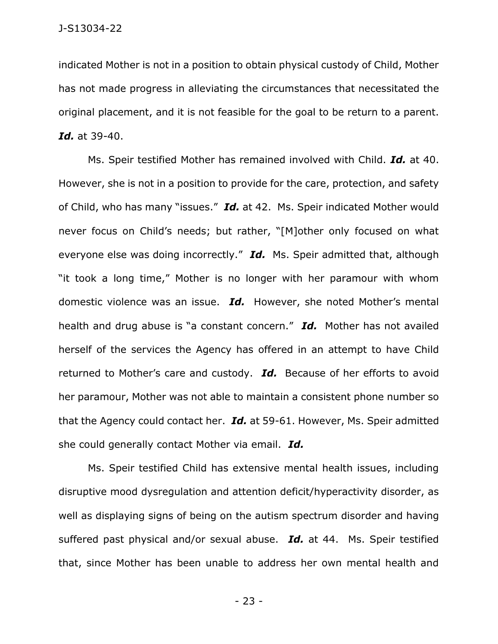indicated Mother is not in a position to obtain physical custody of Child, Mother has not made progress in alleviating the circumstances that necessitated the original placement, and it is not feasible for the goal to be return to a parent. *Id.* at 39-40.

Ms. Speir testified Mother has remained involved with Child. *Id.* at 40. However, she is not in a position to provide for the care, protection, and safety of Child, who has many "issues." *Id.* at 42. Ms. Speir indicated Mother would never focus on Child's needs; but rather, "[M]other only focused on what everyone else was doing incorrectly." *Id.* Ms. Speir admitted that, although "it took a long time," Mother is no longer with her paramour with whom domestic violence was an issue. *Id.* However, she noted Mother's mental health and drug abuse is "a constant concern." *Id.* Mother has not availed herself of the services the Agency has offered in an attempt to have Child returned to Mother's care and custody. *Id.* Because of her efforts to avoid her paramour, Mother was not able to maintain a consistent phone number so that the Agency could contact her. *Id.* at 59-61. However, Ms. Speir admitted she could generally contact Mother via email. *Id.* 

Ms. Speir testified Child has extensive mental health issues, including disruptive mood dysregulation and attention deficit/hyperactivity disorder, as well as displaying signs of being on the autism spectrum disorder and having suffered past physical and/or sexual abuse. *Id.* at 44. Ms. Speir testified that, since Mother has been unable to address her own mental health and

- 23 -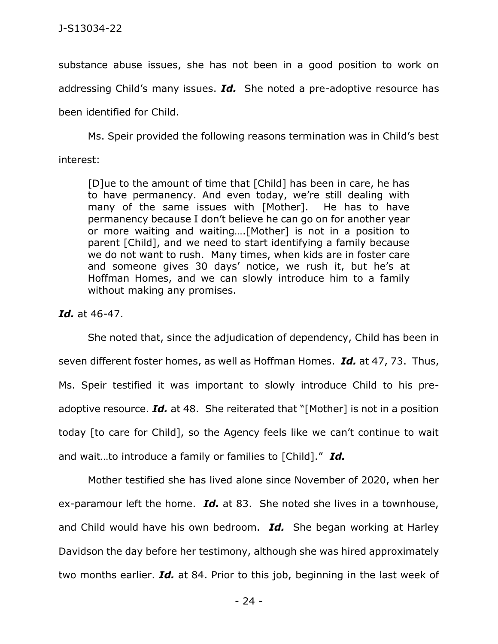substance abuse issues, she has not been in a good position to work on addressing Child's many issues. *Id.* She noted a pre-adoptive resource has been identified for Child.

Ms. Speir provided the following reasons termination was in Child's best interest:

[D]ue to the amount of time that [Child] has been in care, he has to have permanency. And even today, we're still dealing with many of the same issues with [Mother]. He has to have permanency because I don't believe he can go on for another year or more waiting and waiting….[Mother] is not in a position to parent [Child], and we need to start identifying a family because we do not want to rush. Many times, when kids are in foster care and someone gives 30 days' notice, we rush it, but he's at Hoffman Homes, and we can slowly introduce him to a family without making any promises.

### *Id.* at 46-47.

She noted that, since the adjudication of dependency, Child has been in seven different foster homes, as well as Hoffman Homes. *Id.* at 47, 73. Thus, Ms. Speir testified it was important to slowly introduce Child to his preadoptive resource. *Id.* at 48. She reiterated that "[Mother] is not in a position today [to care for Child], so the Agency feels like we can't continue to wait and wait…to introduce a family or families to [Child]." *Id.* 

Mother testified she has lived alone since November of 2020, when her ex-paramour left the home. *Id.* at 83. She noted she lives in a townhouse, and Child would have his own bedroom. *Id.* She began working at Harley Davidson the day before her testimony, although she was hired approximately two months earlier. *Id.* at 84. Prior to this job, beginning in the last week of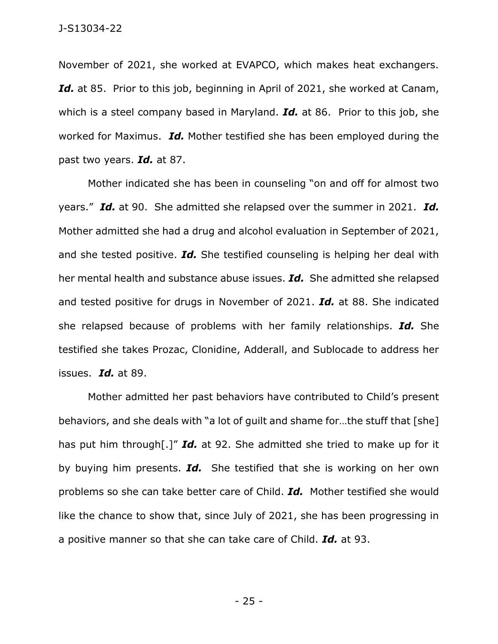November of 2021, she worked at EVAPCO, which makes heat exchangers. Id. at 85. Prior to this job, beginning in April of 2021, she worked at Canam, which is a steel company based in Maryland. *Id.* at 86. Prior to this job, she worked for Maximus. *Id.* Mother testified she has been employed during the past two years. *Id.* at 87.

Mother indicated she has been in counseling "on and off for almost two years." *Id.* at 90. She admitted she relapsed over the summer in 2021. *Id.*  Mother admitted she had a drug and alcohol evaluation in September of 2021, and she tested positive. *Id.* She testified counseling is helping her deal with her mental health and substance abuse issues. *Id.* She admitted she relapsed and tested positive for drugs in November of 2021. *Id.* at 88. She indicated she relapsed because of problems with her family relationships. *Id.* She testified she takes Prozac, Clonidine, Adderall, and Sublocade to address her issues. *Id.* at 89.

Mother admitted her past behaviors have contributed to Child's present behaviors, and she deals with "a lot of guilt and shame for…the stuff that [she] has put him through[.]" *Id.* at 92. She admitted she tried to make up for it by buying him presents. *Id.* She testified that she is working on her own problems so she can take better care of Child. *Id.* Mother testified she would like the chance to show that, since July of 2021, she has been progressing in a positive manner so that she can take care of Child. *Id.* at 93.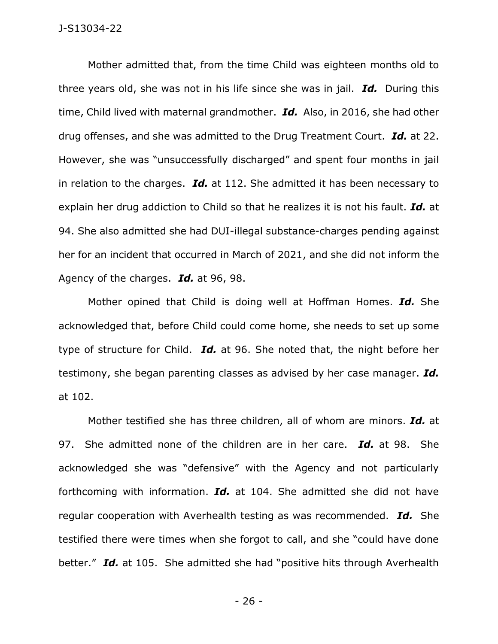Mother admitted that, from the time Child was eighteen months old to three years old, she was not in his life since she was in jail. *Id.* During this time, Child lived with maternal grandmother. *Id.* Also, in 2016, she had other drug offenses, and she was admitted to the Drug Treatment Court. *Id.* at 22. However, she was "unsuccessfully discharged" and spent four months in jail in relation to the charges. *Id.* at 112. She admitted it has been necessary to explain her drug addiction to Child so that he realizes it is not his fault. *Id.* at 94. She also admitted she had DUI-illegal substance-charges pending against her for an incident that occurred in March of 2021, and she did not inform the Agency of the charges. *Id.* at 96, 98.

Mother opined that Child is doing well at Hoffman Homes. *Id.* She acknowledged that, before Child could come home, she needs to set up some type of structure for Child. *Id.* at 96. She noted that, the night before her testimony, she began parenting classes as advised by her case manager. *Id.*  at 102.

Mother testified she has three children, all of whom are minors. *Id.* at 97. She admitted none of the children are in her care. *Id.* at 98. She acknowledged she was "defensive" with the Agency and not particularly forthcoming with information. *Id.* at 104. She admitted she did not have regular cooperation with Averhealth testing as was recommended. *Id.* She testified there were times when she forgot to call, and she "could have done better." *Id.* at 105. She admitted she had "positive hits through Averhealth

- 26 -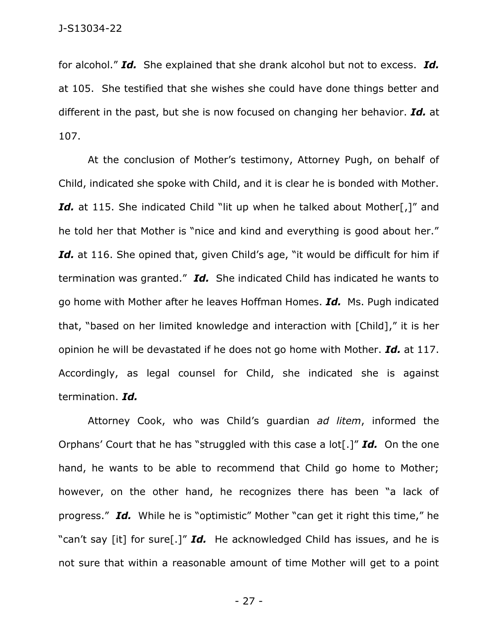for alcohol." *Id.* She explained that she drank alcohol but not to excess. *Id.*  at 105. She testified that she wishes she could have done things better and different in the past, but she is now focused on changing her behavior. *Id.* at 107.

At the conclusion of Mother's testimony, Attorney Pugh, on behalf of Child, indicated she spoke with Child, and it is clear he is bonded with Mother. *Id.* at 115. She indicated Child "lit up when he talked about Mother[,]" and he told her that Mother is "nice and kind and everything is good about her." Id. at 116. She opined that, given Child's age, "it would be difficult for him if termination was granted." *Id.* She indicated Child has indicated he wants to go home with Mother after he leaves Hoffman Homes. *Id.* Ms. Pugh indicated that, "based on her limited knowledge and interaction with [Child]," it is her opinion he will be devastated if he does not go home with Mother. *Id.* at 117. Accordingly, as legal counsel for Child, she indicated she is against termination. *Id.* 

Attorney Cook, who was Child's guardian *ad litem*, informed the Orphans' Court that he has "struggled with this case a lot[.]" *Id.* On the one hand, he wants to be able to recommend that Child go home to Mother; however, on the other hand, he recognizes there has been "a lack of progress." *Id.* While he is "optimistic" Mother "can get it right this time," he "can't say [it] for sure[.]" *Id.* He acknowledged Child has issues, and he is not sure that within a reasonable amount of time Mother will get to a point

- 27 -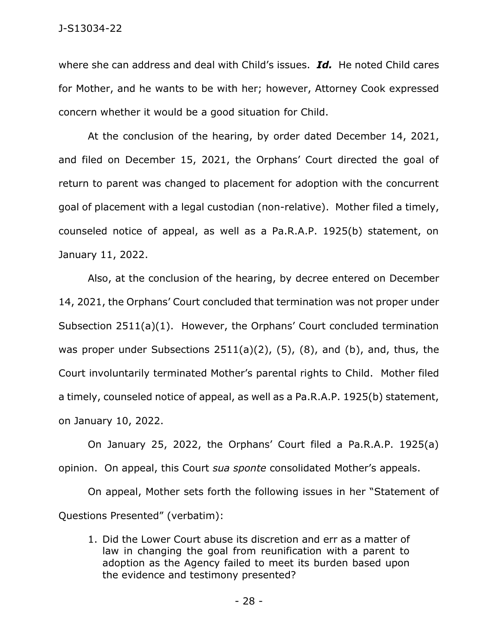where she can address and deal with Child's issues. *Id.* He noted Child cares for Mother, and he wants to be with her; however, Attorney Cook expressed concern whether it would be a good situation for Child.

At the conclusion of the hearing, by order dated December 14, 2021, and filed on December 15, 2021, the Orphans' Court directed the goal of return to parent was changed to placement for adoption with the concurrent goal of placement with a legal custodian (non-relative). Mother filed a timely, counseled notice of appeal, as well as a Pa.R.A.P. 1925(b) statement, on January 11, 2022.

Also, at the conclusion of the hearing, by decree entered on December 14, 2021, the Orphans' Court concluded that termination was not proper under Subsection 2511(a)(1). However, the Orphans' Court concluded termination was proper under Subsections  $2511(a)(2)$ ,  $(5)$ ,  $(8)$ , and  $(b)$ , and, thus, the Court involuntarily terminated Mother's parental rights to Child. Mother filed a timely, counseled notice of appeal, as well as a Pa.R.A.P. 1925(b) statement, on January 10, 2022.

On January 25, 2022, the Orphans' Court filed a Pa.R.A.P. 1925(a) opinion. On appeal, this Court *sua sponte* consolidated Mother's appeals.

On appeal, Mother sets forth the following issues in her "Statement of Questions Presented" (verbatim):

1. Did the Lower Court abuse its discretion and err as a matter of law in changing the goal from reunification with a parent to adoption as the Agency failed to meet its burden based upon the evidence and testimony presented?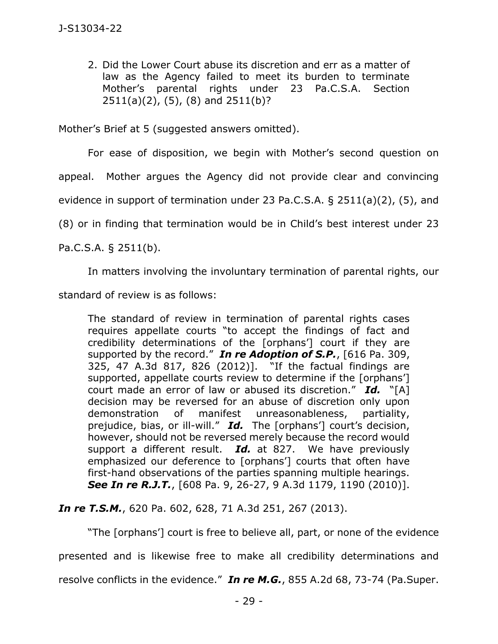2. Did the Lower Court abuse its discretion and err as a matter of law as the Agency failed to meet its burden to terminate Mother's parental rights under 23 Pa.C.S.A. Section 2511(a)(2), (5), (8) and 2511(b)?

Mother's Brief at 5 (suggested answers omitted).

For ease of disposition, we begin with Mother's second question on

appeal. Mother argues the Agency did not provide clear and convincing

evidence in support of termination under 23 Pa.C.S.A. § 2511(a)(2), (5), and

(8) or in finding that termination would be in Child's best interest under 23

Pa.C.S.A. § 2511(b).

In matters involving the involuntary termination of parental rights, our

standard of review is as follows:

The standard of review in termination of parental rights cases requires appellate courts "to accept the findings of fact and credibility determinations of the [orphans'] court if they are supported by the record." *In re Adoption of S.P.*, [616 Pa. 309, 325, 47 A.3d 817, 826 (2012)]. "If the factual findings are supported, appellate courts review to determine if the [orphans'] court made an error of law or abused its discretion." *Id.* "[A] decision may be reversed for an abuse of discretion only upon demonstration of manifest unreasonableness, partiality, prejudice, bias, or ill-will." *Id.* The [orphans'] court's decision, however, should not be reversed merely because the record would support a different result. *Id.* at 827. We have previously emphasized our deference to [orphans'] courts that often have first-hand observations of the parties spanning multiple hearings. *See In re R.J.T.*, [608 Pa. 9, 26-27, 9 A.3d 1179, 1190 (2010)].

*In re T.S.M.*, 620 Pa. 602, 628, 71 A.3d 251, 267 (2013).

"The [orphans'] court is free to believe all, part, or none of the evidence presented and is likewise free to make all credibility determinations and resolve conflicts in the evidence." *In re M.G.*, 855 A.2d 68, 73-74 (Pa.Super.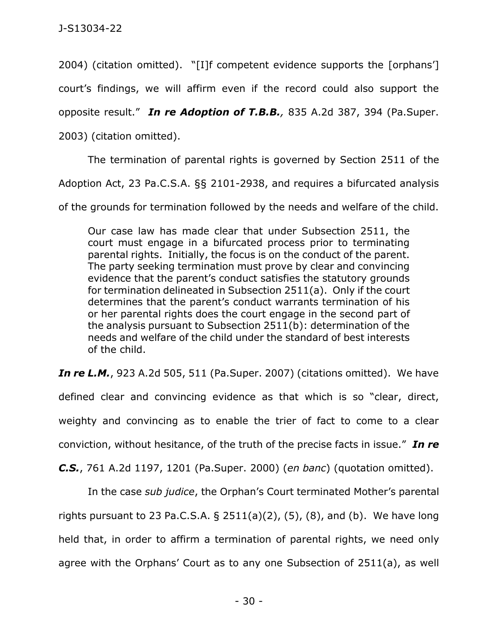2004) (citation omitted). "[I]f competent evidence supports the [orphans']

court's findings, we will affirm even if the record could also support the

opposite result." *In re Adoption of T.B.B.,* 835 A.2d 387, 394 (Pa.Super.

2003) (citation omitted).

The termination of parental rights is governed by Section 2511 of the

Adoption Act, 23 Pa.C.S.A. §§ 2101-2938, and requires a bifurcated analysis

of the grounds for termination followed by the needs and welfare of the child.

Our case law has made clear that under Subsection 2511, the court must engage in a bifurcated process prior to terminating parental rights. Initially, the focus is on the conduct of the parent. The party seeking termination must prove by clear and convincing evidence that the parent's conduct satisfies the statutory grounds for termination delineated in Subsection 2511(a). Only if the court determines that the parent's conduct warrants termination of his or her parental rights does the court engage in the second part of the analysis pursuant to Subsection 2511(b): determination of the needs and welfare of the child under the standard of best interests of the child.

*In re L.M.*, 923 A.2d 505, 511 (Pa.Super. 2007) (citations omitted). We have

defined clear and convincing evidence as that which is so "clear, direct, weighty and convincing as to enable the trier of fact to come to a clear conviction, without hesitance, of the truth of the precise facts in issue." *In re* 

*C.S.*, 761 A.2d 1197, 1201 (Pa.Super. 2000) (*en banc*) (quotation omitted).

In the case *sub judice*, the Orphan's Court terminated Mother's parental rights pursuant to 23 Pa.C.S.A. § 2511(a)(2), (5), (8), and (b). We have long held that, in order to affirm a termination of parental rights, we need only agree with the Orphans' Court as to any one Subsection of 2511(a), as well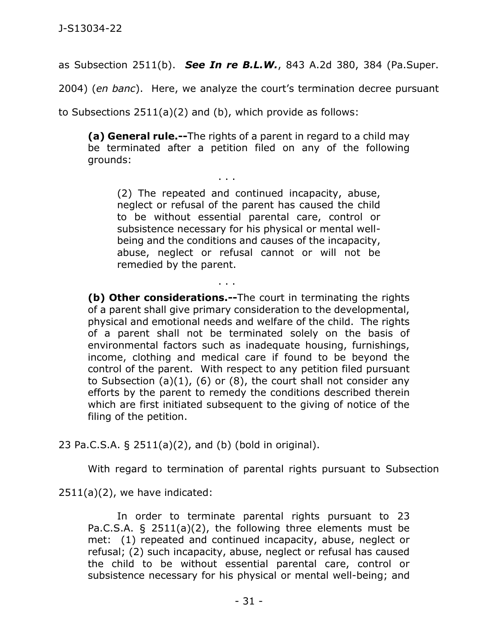as Subsection 2511(b). *See In re B.L.W.*, 843 A.2d 380, 384 (Pa.Super.

2004) (*en banc*). Here, we analyze the court's termination decree pursuant

to Subsections 2511(a)(2) and (b), which provide as follows:

. . .

. . .

**(a) General rule.--**The rights of a parent in regard to a child may be terminated after a petition filed on any of the following grounds:

(2) The repeated and continued incapacity, abuse, neglect or refusal of the parent has caused the child to be without essential parental care, control or subsistence necessary for his physical or mental wellbeing and the conditions and causes of the incapacity, abuse, neglect or refusal cannot or will not be remedied by the parent.

**(b) Other considerations.--**The court in terminating the rights of a parent shall give primary consideration to the developmental, physical and emotional needs and welfare of the child. The rights of a parent shall not be terminated solely on the basis of environmental factors such as inadequate housing, furnishings, income, clothing and medical care if found to be beyond the control of the parent. With respect to any petition filed pursuant to Subsection  $(a)(1)$ ,  $(6)$  or  $(8)$ , the court shall not consider any efforts by the parent to remedy the conditions described therein which are first initiated subsequent to the giving of notice of the filing of the petition.

23 Pa.C.S.A. § 2511(a)(2), and (b) (bold in original).

With regard to termination of parental rights pursuant to Subsection

2511(a)(2), we have indicated:

In order to terminate parental rights pursuant to 23 Pa.C.S.A. § 2511(a)(2), the following three elements must be met: (1) repeated and continued incapacity, abuse, neglect or refusal; (2) such incapacity, abuse, neglect or refusal has caused the child to be without essential parental care, control or subsistence necessary for his physical or mental well-being; and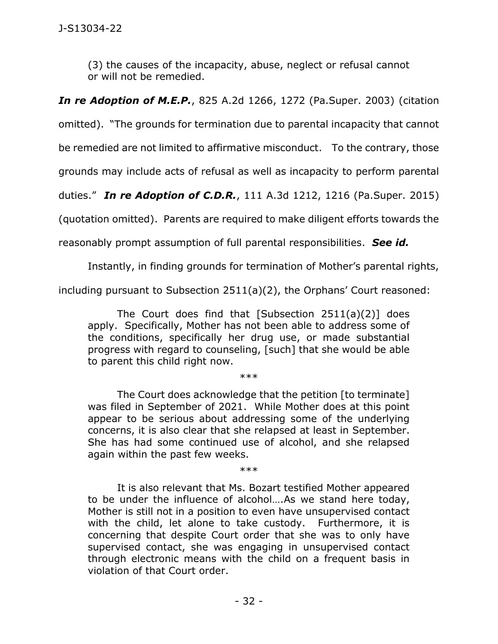(3) the causes of the incapacity, abuse, neglect or refusal cannot or will not be remedied.

*In re Adoption of M.E.P.*, 825 A.2d 1266, 1272 (Pa.Super. 2003) (citation

omitted). "The grounds for termination due to parental incapacity that cannot

be remedied are not limited to affirmative misconduct. To the contrary, those

grounds may include acts of refusal as well as incapacity to perform parental

duties." *In re Adoption of C.D.R.*, 111 A.3d 1212, 1216 (Pa.Super. 2015)

(quotation omitted). Parents are required to make diligent efforts towards the

reasonably prompt assumption of full parental responsibilities. *See id.* 

Instantly, in finding grounds for termination of Mother's parental rights,

including pursuant to Subsection 2511(a)(2), the Orphans' Court reasoned:

The Court does find that [Subsection  $2511(a)(2)$ ] does apply. Specifically, Mother has not been able to address some of the conditions, specifically her drug use, or made substantial progress with regard to counseling, [such] that she would be able to parent this child right now.

\*\*\*

The Court does acknowledge that the petition [to terminate] was filed in September of 2021. While Mother does at this point appear to be serious about addressing some of the underlying concerns, it is also clear that she relapsed at least in September. She has had some continued use of alcohol, and she relapsed again within the past few weeks.

\*\*\*

It is also relevant that Ms. Bozart testified Mother appeared to be under the influence of alcohol….As we stand here today, Mother is still not in a position to even have unsupervised contact with the child, let alone to take custody. Furthermore, it is concerning that despite Court order that she was to only have supervised contact, she was engaging in unsupervised contact through electronic means with the child on a frequent basis in violation of that Court order.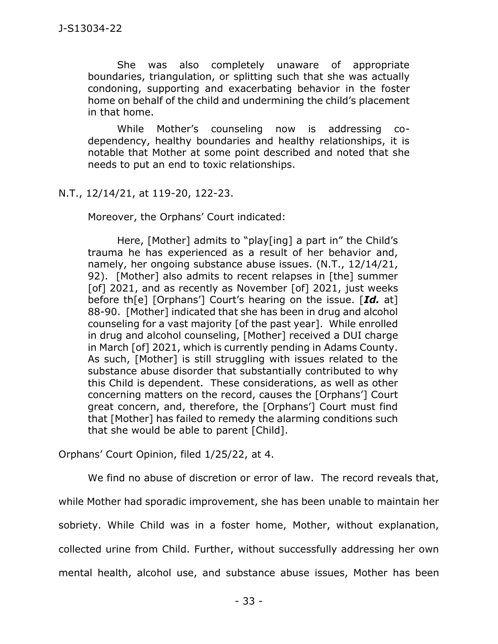She was also completely unaware of appropriate boundaries, triangulation, or splitting such that she was actually condoning, supporting and exacerbating behavior in the foster home on behalf of the child and undermining the child's placement in that home.

While Mother's counseling now is addressing codependency, healthy boundaries and healthy relationships, it is notable that Mother at some point described and noted that she needs to put an end to toxic relationships.

N.T., 12/14/21, at 119-20, 122-23.

Moreover, the Orphans' Court indicated:

Here, [Mother] admits to "play[ing] a part in" the Child's trauma he has experienced as a result of her behavior and, namely, her ongoing substance abuse issues. (N.T., 12/14/21, 92). [Mother] also admits to recent relapses in [the] summer [of] 2021, and as recently as November [of] 2021, just weeks before th[e] [Orphans'] Court's hearing on the issue. [*Id.* at] 88-90. [Mother] indicated that she has been in drug and alcohol counseling for a vast majority [of the past year]. While enrolled in drug and alcohol counseling, [Mother] received a DUI charge in March [of] 2021, which is currently pending in Adams County. As such, [Mother] is still struggling with issues related to the substance abuse disorder that substantially contributed to why this Child is dependent. These considerations, as well as other concerning matters on the record, causes the [Orphans'] Court great concern, and, therefore, the [Orphans'] Court must find that [Mother] has failed to remedy the alarming conditions such that she would be able to parent [Child].

Orphans' Court Opinion, filed 1/25/22, at 4.

We find no abuse of discretion or error of law. The record reveals that, while Mother had sporadic improvement, she has been unable to maintain her sobriety. While Child was in a foster home, Mother, without explanation, collected urine from Child. Further, without successfully addressing her own mental health, alcohol use, and substance abuse issues, Mother has been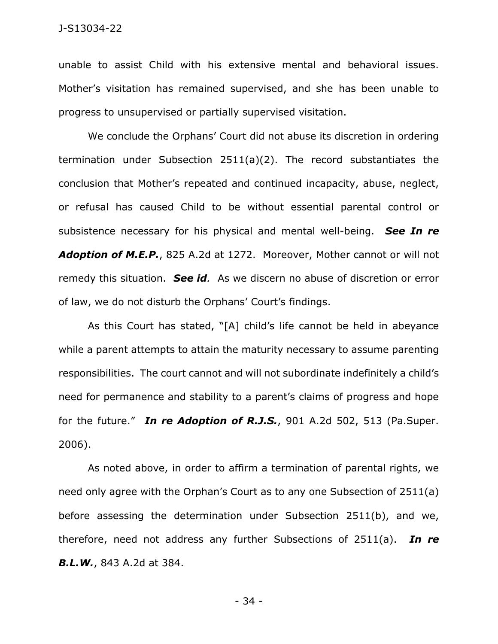unable to assist Child with his extensive mental and behavioral issues. Mother's visitation has remained supervised, and she has been unable to progress to unsupervised or partially supervised visitation.

We conclude the Orphans' Court did not abuse its discretion in ordering termination under Subsection 2511(a)(2). The record substantiates the conclusion that Mother's repeated and continued incapacity, abuse, neglect, or refusal has caused Child to be without essential parental control or subsistence necessary for his physical and mental well-being. *See In re Adoption of M.E.P.*, 825 A.2d at 1272. Moreover, Mother cannot or will not remedy this situation. *See id.* As we discern no abuse of discretion or error of law, we do not disturb the Orphans' Court's findings.

As this Court has stated, "[A] child's life cannot be held in abeyance while a parent attempts to attain the maturity necessary to assume parenting responsibilities. The court cannot and will not subordinate indefinitely a child's need for permanence and stability to a parent's claims of progress and hope for the future." *In re Adoption of R.J.S.*, 901 A.2d 502, 513 (Pa.Super. 2006).

As noted above, in order to affirm a termination of parental rights, we need only agree with the Orphan's Court as to any one Subsection of 2511(a) before assessing the determination under Subsection 2511(b), and we, therefore, need not address any further Subsections of 2511(a). *In re B.L.W.*, 843 A.2d at 384.

- 34 -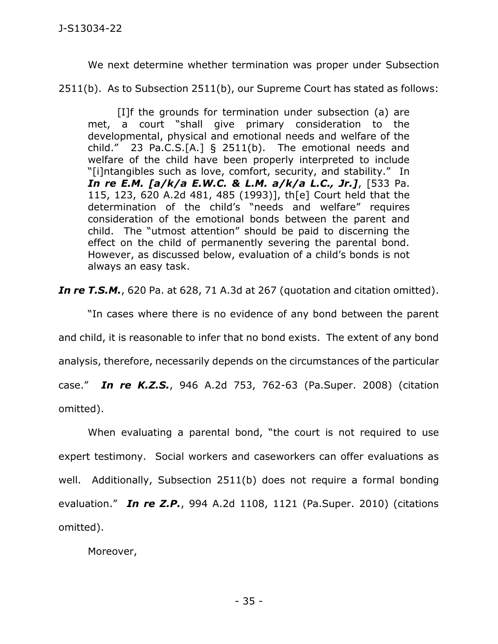We next determine whether termination was proper under Subsection

2511(b). As to Subsection 2511(b), our Supreme Court has stated as follows:

[I]f the grounds for termination under subsection (a) are met, a court "shall give primary consideration to the developmental, physical and emotional needs and welfare of the child." 23 Pa.C.S.[A.] § 2511(b). The emotional needs and welfare of the child have been properly interpreted to include "[i]ntangibles such as love, comfort, security, and stability." In *In re E.M. [a/k/a E.W.C. & L.M. a/k/a L.C., Jr.]*, [533 Pa. 115, 123, 620 A.2d 481, 485 (1993)], th[e] Court held that the determination of the child's "needs and welfare" requires consideration of the emotional bonds between the parent and child. The "utmost attention" should be paid to discerning the effect on the child of permanently severing the parental bond. However, as discussed below, evaluation of a child's bonds is not always an easy task.

*In re T.S.M.*, 620 Pa. at 628, 71 A.3d at 267 (quotation and citation omitted).

"In cases where there is no evidence of any bond between the parent and child, it is reasonable to infer that no bond exists. The extent of any bond analysis, therefore, necessarily depends on the circumstances of the particular case." *In re K.Z.S.*, 946 A.2d 753, 762-63 (Pa.Super. 2008) (citation omitted).

When evaluating a parental bond, "the court is not required to use expert testimony. Social workers and caseworkers can offer evaluations as well. Additionally, Subsection 2511(b) does not require a formal bonding evaluation." *In re Z.P.*, 994 A.2d 1108, 1121 (Pa.Super. 2010) (citations omitted).

Moreover,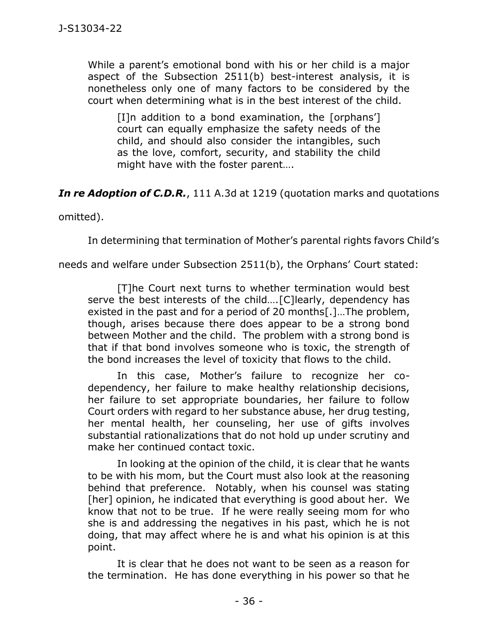While a parent's emotional bond with his or her child is a major aspect of the Subsection 2511(b) best-interest analysis, it is nonetheless only one of many factors to be considered by the court when determining what is in the best interest of the child.

[I]n addition to a bond examination, the [orphans'] court can equally emphasize the safety needs of the child, and should also consider the intangibles, such as the love, comfort, security, and stability the child might have with the foster parent….

*In re Adoption of C.D.R.*, 111 A.3d at 1219 (quotation marks and quotations

omitted).

In determining that termination of Mother's parental rights favors Child's

needs and welfare under Subsection 2511(b), the Orphans' Court stated:

[T]he Court next turns to whether termination would best serve the best interests of the child....[C]learly, dependency has existed in the past and for a period of 20 months[.]…The problem, though, arises because there does appear to be a strong bond between Mother and the child. The problem with a strong bond is that if that bond involves someone who is toxic, the strength of the bond increases the level of toxicity that flows to the child.

In this case, Mother's failure to recognize her codependency, her failure to make healthy relationship decisions, her failure to set appropriate boundaries, her failure to follow Court orders with regard to her substance abuse, her drug testing, her mental health, her counseling, her use of gifts involves substantial rationalizations that do not hold up under scrutiny and make her continued contact toxic.

In looking at the opinion of the child, it is clear that he wants to be with his mom, but the Court must also look at the reasoning behind that preference. Notably, when his counsel was stating [her] opinion, he indicated that everything is good about her. We know that not to be true. If he were really seeing mom for who she is and addressing the negatives in his past, which he is not doing, that may affect where he is and what his opinion is at this point.

It is clear that he does not want to be seen as a reason for the termination. He has done everything in his power so that he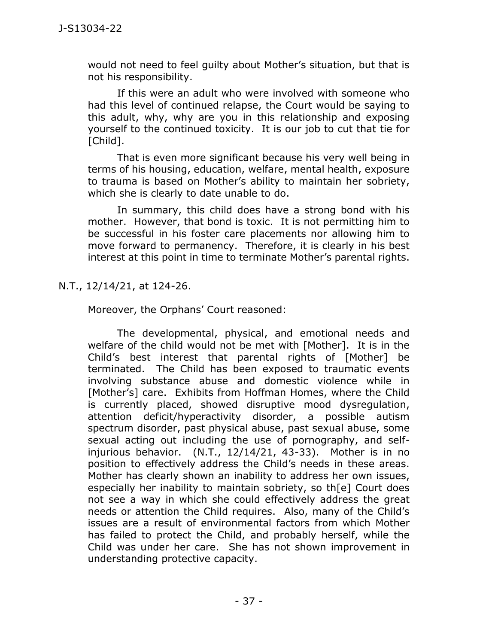would not need to feel guilty about Mother's situation, but that is not his responsibility.

If this were an adult who were involved with someone who had this level of continued relapse, the Court would be saying to this adult, why, why are you in this relationship and exposing yourself to the continued toxicity. It is our job to cut that tie for [Child].

That is even more significant because his very well being in terms of his housing, education, welfare, mental health, exposure to trauma is based on Mother's ability to maintain her sobriety, which she is clearly to date unable to do.

In summary, this child does have a strong bond with his mother. However, that bond is toxic. It is not permitting him to be successful in his foster care placements nor allowing him to move forward to permanency. Therefore, it is clearly in his best interest at this point in time to terminate Mother's parental rights.

N.T., 12/14/21, at 124-26.

Moreover, the Orphans' Court reasoned:

The developmental, physical, and emotional needs and welfare of the child would not be met with [Mother]. It is in the Child's best interest that parental rights of [Mother] be terminated. The Child has been exposed to traumatic events involving substance abuse and domestic violence while in [Mother's] care. Exhibits from Hoffman Homes, where the Child is currently placed, showed disruptive mood dysregulation, attention deficit/hyperactivity disorder, a possible autism spectrum disorder, past physical abuse, past sexual abuse, some sexual acting out including the use of pornography, and selfinjurious behavior. (N.T., 12/14/21, 43-33). Mother is in no position to effectively address the Child's needs in these areas. Mother has clearly shown an inability to address her own issues, especially her inability to maintain sobriety, so th[e] Court does not see a way in which she could effectively address the great needs or attention the Child requires. Also, many of the Child's issues are a result of environmental factors from which Mother has failed to protect the Child, and probably herself, while the Child was under her care. She has not shown improvement in understanding protective capacity.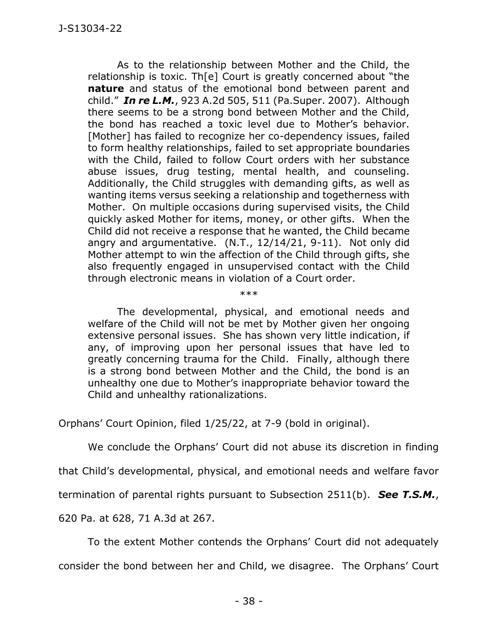As to the relationship between Mother and the Child, the relationship is toxic. Th[e] Court is greatly concerned about "the **nature** and status of the emotional bond between parent and child." *In re L.M.*, 923 A.2d 505, 511 (Pa.Super. 2007). Although there seems to be a strong bond between Mother and the Child, the bond has reached a toxic level due to Mother's behavior. [Mother] has failed to recognize her co-dependency issues, failed to form healthy relationships, failed to set appropriate boundaries with the Child, failed to follow Court orders with her substance abuse issues, drug testing, mental health, and counseling. Additionally, the Child struggles with demanding gifts, as well as wanting items versus seeking a relationship and togetherness with Mother. On multiple occasions during supervised visits, the Child quickly asked Mother for items, money, or other gifts. When the Child did not receive a response that he wanted, the Child became angry and argumentative. (N.T., 12/14/21, 9-11). Not only did Mother attempt to win the affection of the Child through gifts, she also frequently engaged in unsupervised contact with the Child through electronic means in violation of a Court order.

\*\*\*

The developmental, physical, and emotional needs and welfare of the Child will not be met by Mother given her ongoing extensive personal issues. She has shown very little indication, if any, of improving upon her personal issues that have led to greatly concerning trauma for the Child. Finally, although there is a strong bond between Mother and the Child, the bond is an unhealthy one due to Mother's inappropriate behavior toward the Child and unhealthy rationalizations.

Orphans' Court Opinion, filed 1/25/22, at 7-9 (bold in original).

We conclude the Orphans' Court did not abuse its discretion in finding

that Child's developmental, physical, and emotional needs and welfare favor

termination of parental rights pursuant to Subsection 2511(b). *See T.S.M.*,

620 Pa. at 628, 71 A.3d at 267.

To the extent Mother contends the Orphans' Court did not adequately

consider the bond between her and Child, we disagree. The Orphans' Court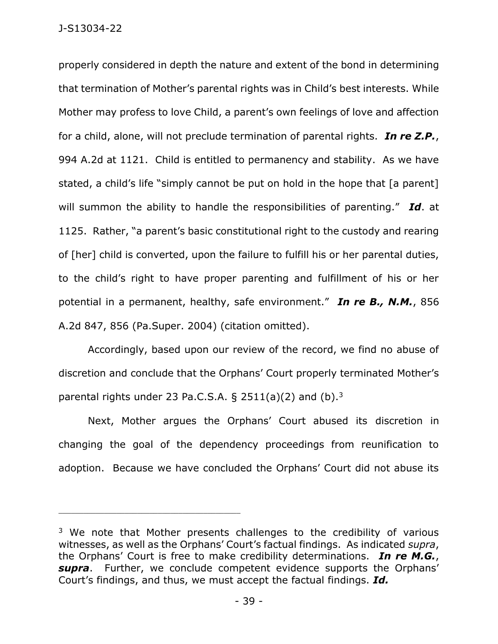properly considered in depth the nature and extent of the bond in determining that termination of Mother's parental rights was in Child's best interests. While Mother may profess to love Child, a parent's own feelings of love and affection for a child, alone, will not preclude termination of parental rights. *In re Z.P.*, 994 A.2d at 1121. Child is entitled to permanency and stability. As we have stated, a child's life "simply cannot be put on hold in the hope that [a parent] will summon the ability to handle the responsibilities of parenting." *Id*. at 1125. Rather, "a parent's basic constitutional right to the custody and rearing of [her] child is converted, upon the failure to fulfill his or her parental duties, to the child's right to have proper parenting and fulfillment of his or her potential in a permanent, healthy, safe environment." *In re B., N.M.*, 856 A.2d 847, 856 (Pa.Super. 2004) (citation omitted).

Accordingly, based upon our review of the record, we find no abuse of discretion and conclude that the Orphans' Court properly terminated Mother's parental rights under 23 Pa.C.S.A.  $\S$  2511(a)(2) and (b).<sup>3</sup>

Next, Mother argues the Orphans' Court abused its discretion in changing the goal of the dependency proceedings from reunification to adoption. Because we have concluded the Orphans' Court did not abuse its

\_\_\_\_\_\_\_\_\_\_\_\_\_\_\_\_\_\_\_\_\_\_\_\_\_\_\_\_\_\_\_\_\_\_\_\_\_\_\_\_\_\_\_\_

<sup>&</sup>lt;sup>3</sup> We note that Mother presents challenges to the credibility of various witnesses, as well as the Orphans' Court's factual findings. As indicated *supra*, the Orphans' Court is free to make credibility determinations. *In re M.G.*, *supra*. Further, we conclude competent evidence supports the Orphans' Court's findings, and thus, we must accept the factual findings. *Id.*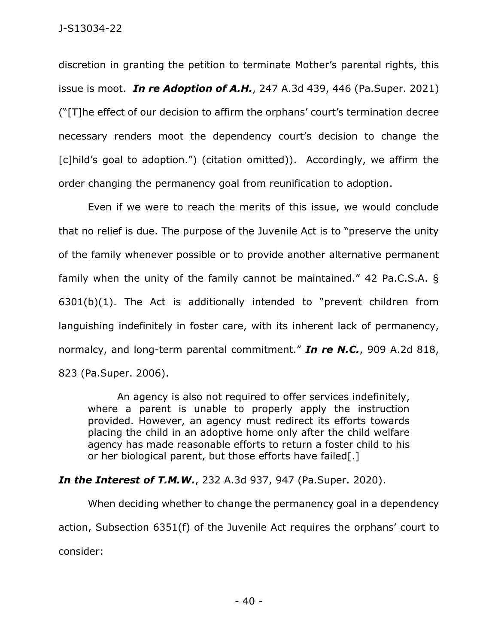discretion in granting the petition to terminate Mother's parental rights, this issue is moot. *In re Adoption of A.H.*, 247 A.3d 439, 446 (Pa.Super. 2021) ("[T]he effect of our decision to affirm the orphans' court's termination decree necessary renders moot the dependency court's decision to change the [c]hild's goal to adoption.") (citation omitted)). Accordingly, we affirm the order changing the permanency goal from reunification to adoption.

Even if we were to reach the merits of this issue, we would conclude that no relief is due. The purpose of the Juvenile Act is to "preserve the unity of the family whenever possible or to provide another alternative permanent family when the unity of the family cannot be maintained." [42 Pa.C.S.A. §](https://1.next.westlaw.com/Link/Document/FullText?findType=L&pubNum=1000262&cite=PA42S6301&originatingDoc=I9b36a7d0fedd11eb8c52d94e16ea0056&refType=SP&originationContext=document&transitionType=DocumentItem&ppcid=58c2e8894a434b789693c78a9e1baf89&contextData=(sc.Keycite)#co_pp_3fed000053a85)  [6301\(b\)\(1\)](https://1.next.westlaw.com/Link/Document/FullText?findType=L&pubNum=1000262&cite=PA42S6301&originatingDoc=I9b36a7d0fedd11eb8c52d94e16ea0056&refType=SP&originationContext=document&transitionType=DocumentItem&ppcid=58c2e8894a434b789693c78a9e1baf89&contextData=(sc.Keycite)#co_pp_3fed000053a85). The Act is additionally intended to "prevent children from languishing indefinitely in foster care, with its inherent lack of permanency, normalcy, and long-term parental commitment." *In re N.C.*[, 909 A.2d 818,](https://1.next.westlaw.com/Link/Document/FullText?findType=Y&serNum=2010433542&pubNum=0000162&originatingDoc=I9b36a7d0fedd11eb8c52d94e16ea0056&refType=RP&fi=co_pp_sp_162_823&originationContext=document&transitionType=DocumentItem&ppcid=58c2e8894a434b789693c78a9e1baf89&contextData=(sc.Keycite)#co_pp_sp_162_823)  [823 \(Pa.Super. 2006\).](https://1.next.westlaw.com/Link/Document/FullText?findType=Y&serNum=2010433542&pubNum=0000162&originatingDoc=I9b36a7d0fedd11eb8c52d94e16ea0056&refType=RP&fi=co_pp_sp_162_823&originationContext=document&transitionType=DocumentItem&ppcid=58c2e8894a434b789693c78a9e1baf89&contextData=(sc.Keycite)#co_pp_sp_162_823)

An agency is also not required to offer services indefinitely, where a parent is unable to properly apply the instruction provided. However, an agency must redirect its efforts towards placing the child in an adoptive home only after the child welfare agency has made reasonable efforts to return a foster child to his or her biological parent, but those efforts have failed[.]

# *In the Interest of T.M.W.*[, 232 A.3d 937, 947 \(Pa.Super. 2020\).](https://1.next.westlaw.com/Link/Document/FullText?findType=Y&serNum=2050997862&pubNum=0007691&originatingDoc=I9b36a7d0fedd11eb8c52d94e16ea0056&refType=RP&fi=co_pp_sp_7691_947&originationContext=document&transitionType=DocumentItem&ppcid=58c2e8894a434b789693c78a9e1baf89&contextData=(sc.Keycite)#co_pp_sp_7691_947)

When deciding whether to change the permanency goal in a dependency action, Subsection 6351(f) of the Juvenile Act requires the orphans' court to consider: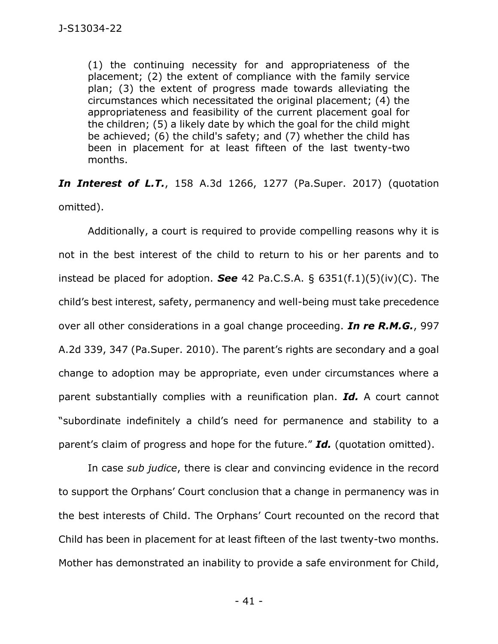(1) the continuing necessity for and appropriateness of the placement; (2) the extent of compliance with the family service plan; (3) the extent of progress made towards alleviating the circumstances which necessitated the original placement; (4) the appropriateness and feasibility of the current placement goal for the children; (5) a likely date by which the goal for the child might be achieved; (6) the child's safety; and (7) whether the child has been in placement for at least fifteen of the last twenty-two months.

*In Interest of L.T.*[, 158 A.3d 1266, 1277 \(Pa.Super. 2017\)](https://1.next.westlaw.com/Link/Document/FullText?findType=Y&serNum=2041413114&pubNum=0007691&originatingDoc=I9b36a7d0fedd11eb8c52d94e16ea0056&refType=RP&fi=co_pp_sp_7691_1277&originationContext=document&transitionType=DocumentItem&ppcid=58c2e8894a434b789693c78a9e1baf89&contextData=(sc.Keycite)#co_pp_sp_7691_1277) (quotation omitted).

Additionally, a court is required to provide compelling reasons why it is not in the best interest of the child to return to his or her parents and to instead be placed for adoption. *See* 42 Pa.C.S.A. [§ 6351\(f.1\)\(5\)\(iv\)\(C\).](https://1.next.westlaw.com/Link/Document/FullText?findType=L&pubNum=1000262&cite=PA42S6351&originatingDoc=I9b36a7d0fedd11eb8c52d94e16ea0056&refType=SP&originationContext=document&transitionType=DocumentItem&ppcid=58c2e8894a434b789693c78a9e1baf89&contextData=(sc.Keycite)#co_pp_68ca0000bc904) The child's best interest, safety, permanency and well-being must take precedence over all other considerations in a goal change proceeding. *[In re R.M.G.](https://1.next.westlaw.com/Link/Document/FullText?findType=Y&serNum=2022237421&pubNum=0000162&originatingDoc=I9b36a7d0fedd11eb8c52d94e16ea0056&refType=RP&fi=co_pp_sp_162_347&originationContext=document&transitionType=DocumentItem&ppcid=58c2e8894a434b789693c78a9e1baf89&contextData=(sc.Keycite)#co_pp_sp_162_347)*, 997 [A.2d 339, 347 \(Pa.Super. 2010\)](https://1.next.westlaw.com/Link/Document/FullText?findType=Y&serNum=2022237421&pubNum=0000162&originatingDoc=I9b36a7d0fedd11eb8c52d94e16ea0056&refType=RP&fi=co_pp_sp_162_347&originationContext=document&transitionType=DocumentItem&ppcid=58c2e8894a434b789693c78a9e1baf89&contextData=(sc.Keycite)#co_pp_sp_162_347). The parent's rights are secondary and a goal change to adoption may be appropriate, even under circumstances where a parent substantially complies with a reunification plan. *Id.* A court cannot "subordinate indefinitely a child's need for permanence and stability to a parent's claim of progress and hope for the future." *Id.* (quotation omitted).

In case *sub judice*, there is clear and convincing evidence in the record to support the Orphans' Court conclusion that a change in permanency was in the best interests of Child. The Orphans' Court recounted on the record that Child has been in placement for at least fifteen of the last twenty-two months. Mother has demonstrated an inability to provide a safe environment for Child,